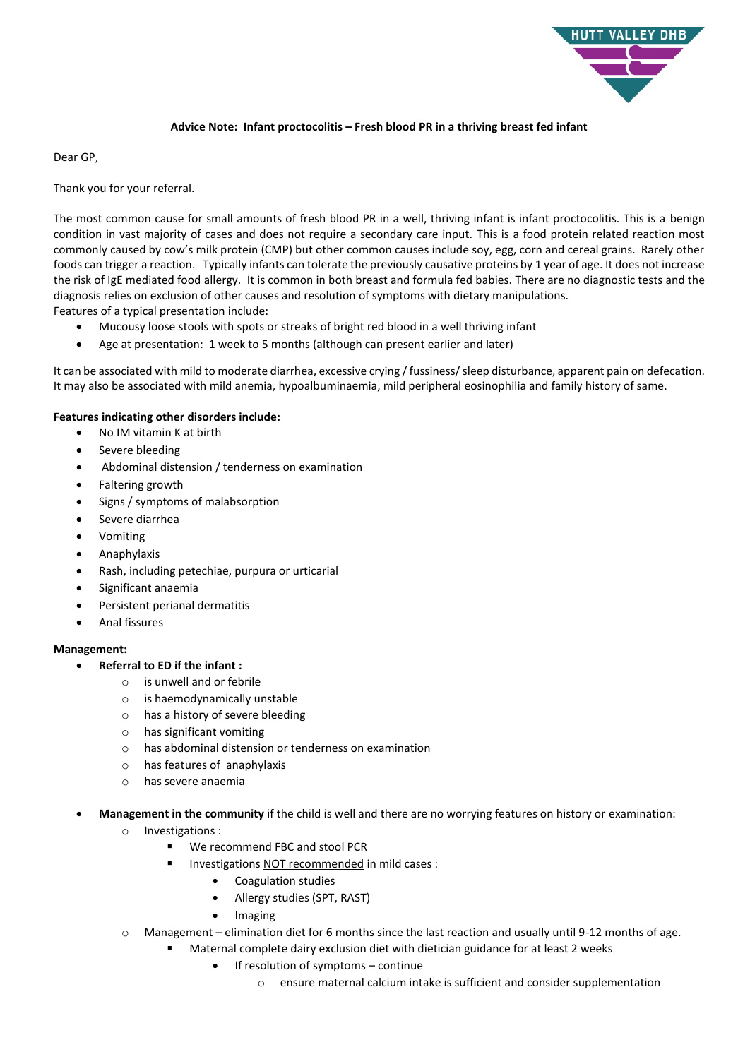

## **Advice Note: Infant proctocolitis – Fresh blood PR in a thriving breast fed infant**

Dear GP,

Thank you for your referral.

The most common cause for small amounts of fresh blood PR in a well, thriving infant is infant proctocolitis. This is a benign condition in vast majority of cases and does not require a secondary care input. This is a food protein related reaction most commonly caused by cow's milk protein (CMP) but other common causes include soy, egg, corn and cereal grains. Rarely other foods can trigger a reaction. Typically infants can tolerate the previously causative proteins by 1 year of age. It does not increase the risk of IgE mediated food allergy. It is common in both breast and formula fed babies. There are no diagnostic tests and the diagnosis relies on exclusion of other causes and resolution of symptoms with dietary manipulations. Features of a typical presentation include:

- Mucousy loose stools with spots or streaks of bright red blood in a well thriving infant
- Age at presentation: 1 week to 5 months (although can present earlier and later)

It can be associated with mild to moderate diarrhea, excessive crying / fussiness/ sleep disturbance, apparent pain on defecation. It may also be associated with mild anemia, hypoalbuminaemia, mild peripheral eosinophilia and family history of same.

## **Features indicating other disorders include:**

- No IM vitamin K at birth
- Severe bleeding
- Abdominal distension / tenderness on examination
- Faltering growth
- Signs / symptoms of malabsorption
- Severe diarrhea
- Vomiting
- Anaphylaxis
- Rash, including petechiae, purpura or urticarial
- Significant anaemia
- Persistent perianal dermatitis
- Anal fissures

## **Management:**

- **Referral to ED if the infant :**
	- o is unwell and or febrile
	- o is haemodynamically unstable
	- o has a history of severe bleeding
	- o has significant vomiting
	- o has abdominal distension or tenderness on examination
	- o has features of anaphylaxis
	- o has severe anaemia
- **Management in the community** if the child is well and there are no worrying features on history or examination:
	- o Investigations :
		- **We recommend FBC and stool PCR**
		- **Investigations NOT recommended in mild cases :** 
			- Coagulation studies
			- Allergy studies (SPT, RAST)
			- Imaging
	- o Management elimination diet for 6 months since the last reaction and usually until 9-12 months of age.
		- Maternal complete dairy exclusion diet with dietician guidance for at least 2 weeks
			- If resolution of symptoms continue
				- o ensure maternal calcium intake is sufficient and consider supplementation